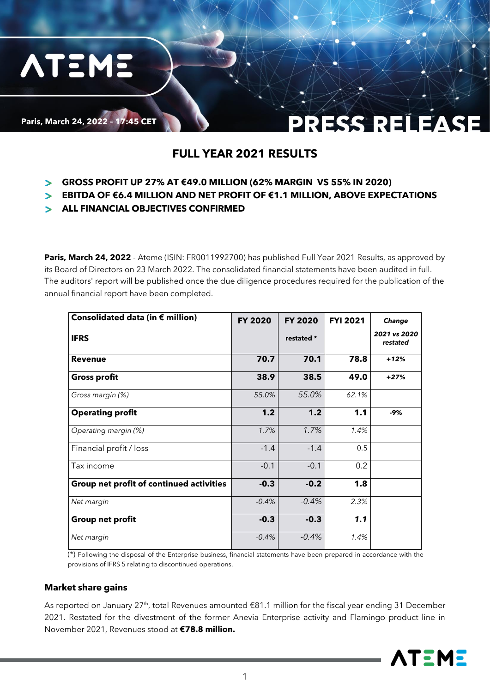

**ATEME** 

### PRESS RELEASE

### **FULL YEAR 2021 RESULTS**

- **GROSS PROFIT UP 27% AT €49.0 MILLION (62% MARGIN VS 55% IN 2020)**
- **EBITDA OF €6.4 MILLION AND NET PROFIT OF €1.1 MILLION, ABOVE EXPECTATIONS**
- **ALL FINANCIAL OBJECTIVES CONFIRMED**

Paris, March 24, 2022 - Ateme (ISIN: FR0011992700) has published Full Year 2021 Results, as approved by its Board of Directors on 23 March 2022. The consolidated financial statements have been audited in full. The auditors' report will be published once the due diligence procedures required for the publication of the annual financial report have been completed.

| Consolidated data (in $\epsilon$ million) | FY 2020 | <b>FY 2020</b> | <b>FYI 2021</b> | Change                   |
|-------------------------------------------|---------|----------------|-----------------|--------------------------|
| <b>IFRS</b>                               |         | restated *     |                 | 2021 vs 2020<br>restated |
| <b>Revenue</b>                            | 70.7    | 70.1           | 78.8            | $+12%$                   |
| <b>Gross profit</b>                       | 38.9    | 38.5           | 49.0            | $+27%$                   |
| Gross margin (%)                          | 55.0%   | 55.0%          | 62.1%           |                          |
| <b>Operating profit</b>                   | 1.2     | 1.2            | 1.1             | $-9%$                    |
| Operating margin (%)                      | 1.7%    | 1.7%           | 1.4%            |                          |
| Financial profit / loss                   | $-1.4$  | $-1.4$         | 0.5             |                          |
| Tax income                                | $-0.1$  | $-0.1$         | 0.2             |                          |
| Group net profit of continued activities  | $-0.3$  | $-0.2$         | 1.8             |                          |
| Net margin                                | $-0.4%$ | $-0.4%$        | 2.3%            |                          |
| <b>Group net profit</b>                   | $-0.3$  | $-0.3$         | 1.1             |                          |
| Net margin                                | $-0.4%$ | $-0.4%$        | 1.4%            |                          |

 $(*)$  Following the disposal of the Enterprise business, financial statements have been prepared in accordance with the provisions of IFRS 5 relating to discontinued operations.

#### **Market share gains**

As reported on January 27<sup>th</sup>, total Revenues amounted €81.1 million for the fiscal year ending 31 December 2021. Restated for the divestment of the former Anevia Enterprise activity and Flamingo product line in November 2021, Revenues stood at **€78.8 million.** 

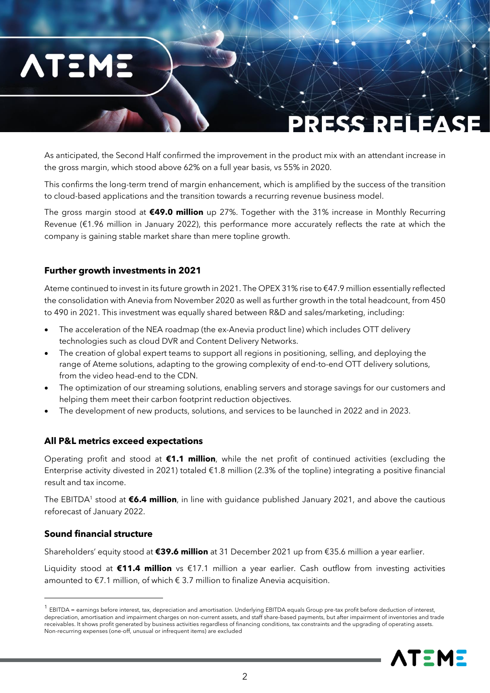# **ATEME**

## PRESS RELEASE

As anticipated, the Second Half confirmed the improvement in the product mix with an attendant increase in the gross margin, which stood above 62% on a full year basis, vs 55% in 2020.

This confirms the long-term trend of margin enhancement, which is amplified by the success of the transition to cloud-based applications and the transition towards a recurring revenue business model.

The gross margin stood at **€49.0 million** up 27%. Together with the 31% increase in Monthly Recurring Revenue (€1.96 million in January 2022), this performance more accurately reflects the rate at which the company is gaining stable market share than mere topline growth.

#### **Further growth investments in 2021**

Ateme continued to invest in its future growth in 2021. The OPEX 31% rise to €47.9 million essentially reflected the consolidation with Anevia from November 2020 as well as further growth in the total headcount, from 450 to 490 in 2021. This investment was equally shared between R&D and sales/marketing, including:

- The acceleration of the NEA roadmap (the ex-Anevia product line) which includes OTT delivery technologies such as cloud DVR and Content Delivery Networks.
- The creation of global expert teams to support all regions in positioning, selling, and deploying the range of Ateme solutions, adapting to the growing complexity of end-to-end OTT delivery solutions, from the video head-end to the CDN.
- The optimization of our streaming solutions, enabling servers and storage savings for our customers and helping them meet their carbon footprint reduction objectives.
- The development of new products, solutions, and services to be launched in 2022 and in 2023.

#### **All P&L metrics exceed expectations**

Operating profit and stood at **€1.1 million**, while the net profit of continued activities (excluding the Enterprise activity divested in 2021) totaled  $\epsilon$ 1.8 million (2.3% of the topline) integrating a positive financial result and tax income.

The EBITDA<sup>1</sup> stood at **€6.4 million**, in line with guidance published January 2021, and above the cautious reforecast of January 2022.

#### **Sound financial structure**

Shareholders' equity stood at **€39.6 million** at 31 December 2021 up from €35.6 million a year earlier.

Liquidity stood at **€11.4 million** vs €17.1 million a year earlier. Cash outflow from investing activities amounted to €7.1 million, of which € 3.7 million to finalize Anevia acquisition.

 $^1$  EBITDA = earnings before interest, tax, depreciation and amortisation. Underlying EBITDA equals Group pre-tax profit before deduction of interest, depreciation, amortisation and impairment charges on non-current assets, and staff share-based payments, but after impairment of inventories and trade receivables. It shows profit generated by business activities regardless of financing conditions, tax constraints and the upgrading of operating assets. Non-recurring expenses (one-off, unusual or infrequent items) are excluded

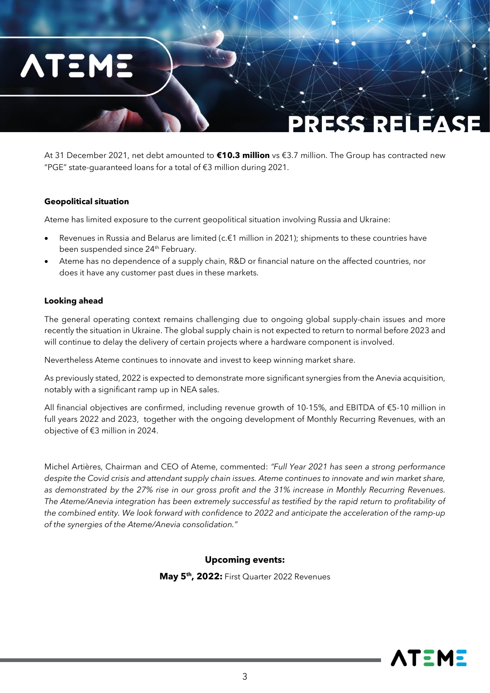

At 31 December 2021, net debt amounted to **€10.3 million** vs €3.7 million. The Group has contracted new "PGE" state-guaranteed loans for a total of €3 million during 2021.

#### **Geopolitical situation**

Ateme has limited exposure to the current geopolitical situation involving Russia and Ukraine:

- Revenues in Russia and Belarus are limited (c.€1 million in 2021); shipments to these countries have been suspended since 24<sup>th</sup> February.
- Ateme has no dependence of a supply chain, R&D or financial nature on the affected countries, nor does it have any customer past dues in these markets.

#### **Looking ahead**

The general operating context remains challenging due to ongoing global supply-chain issues and more recently the situation in Ukraine. The global supply chain is not expected to return to normal before 2023 and will continue to delay the delivery of certain projects where a hardware component is involved.

Nevertheless Ateme continues to innovate and invest to keep winning market share.

As previously stated, 2022 is expected to demonstrate more significant synergies from the Anevia acquisition, notably with a significant ramp up in NEA sales.

All financial objectives are confirmed, including revenue growth of 10-15%, and EBITDA of €5-10 million in full years 2022 and 2023, together with the ongoing development of Monthly Recurring Revenues, with an objective of €3 million in 2024.

Michel Artières, Chairman and CEO of Ateme, commented: *"Full Year 2021 has seen a strong performance despite the Covid crisis and attendant supply chain issues. Ateme continues to innovate and win market share, as demonstrated by the 27% rise in our gross profit and the 31% increase in Monthly Recurring Revenues. The Ateme/Anevia integration has been extremely successful as testified by the rapid return to profitability of the combined entity. We look forward with confidence to 2022 and anticipate the acceleration of the ramp-up of the synergies of the Ateme/Anevia consolidation."* 

#### **Upcoming events:**

**May 5 th, 2022:** First Quarter 2022 Revenues